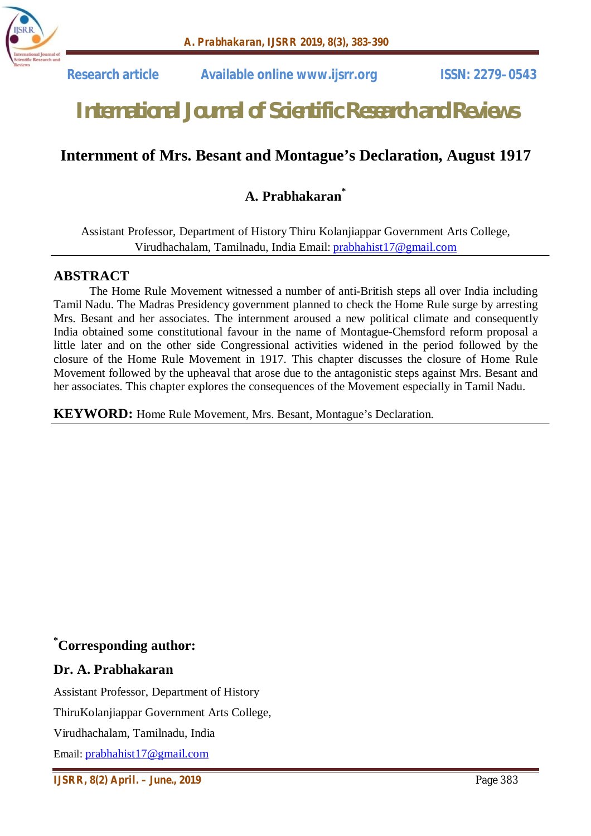

 **Research article Available online www.ijsrr.org ISSN: 2279–0543**

# *International Journal of Scientific Research and Reviews*

# **Internment of Mrs. Besant and Montague's Declaration, August 1917**

# **A. Prabhakaran\***

Assistant Professor, Department of History Thiru Kolanjiappar Government Arts College, Virudhachalam, Tamilnadu, India Email: prabhahist17@gmail.com

#### **ABSTRACT**

The Home Rule Movement witnessed a number of anti-British steps all over India including Tamil Nadu. The Madras Presidency government planned to check the Home Rule surge by arresting Mrs. Besant and her associates. The internment aroused a new political climate and consequently India obtained some constitutional favour in the name of Montague-Chemsford reform proposal a little later and on the other side Congressional activities widened in the period followed by the closure of the Home Rule Movement in 1917. This chapter discusses the closure of Home Rule Movement followed by the upheaval that arose due to the antagonistic steps against Mrs. Besant and her associates. This chapter explores the consequences of the Movement especially in Tamil Nadu.

**KEYWORD:** Home Rule Movement, Mrs. Besant, Montague's Declaration.

## **\*Corresponding author:**

#### **Dr. A. Prabhakaran**

Assistant Professor, Department of History ThiruKolanjiappar Government Arts College, Virudhachalam, Tamilnadu, India Email: prabhahist17@gmail.com

*IJSRR, 8(2) April. – June., 2019* Page 383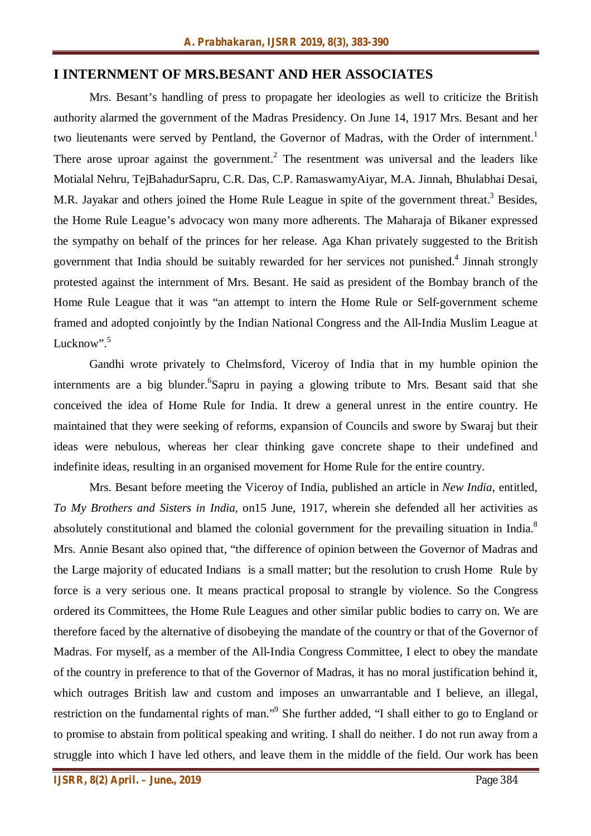#### **I INTERNMENT OF MRS.BESANT AND HER ASSOCIATES**

Mrs. Besant's handling of press to propagate her ideologies as well to criticize the British authority alarmed the government of the Madras Presidency. On June 14, 1917 Mrs. Besant and her two lieutenants were served by Pentland, the Governor of Madras, with the Order of internment.<sup>1</sup> There arose uproar against the government.<sup>2</sup> The resentment was universal and the leaders like Motialal Nehru, TejBahadurSapru, C.R. Das, C.P. RamaswamyAiyar, M.A. Jinnah, Bhulabhai Desai, M.R. Jayakar and others joined the Home Rule League in spite of the government threat.<sup>3</sup> Besides, the Home Rule League's advocacy won many more adherents. The Maharaja of Bikaner expressed the sympathy on behalf of the princes for her release. Aga Khan privately suggested to the British government that India should be suitably rewarded for her services not punished.<sup>4</sup> Jinnah strongly protested against the internment of Mrs. Besant. He said as president of the Bombay branch of the Home Rule League that it was "an attempt to intern the Home Rule or Self-government scheme framed and adopted conjointly by the Indian National Congress and the All-India Muslim League at Lucknow". $5$ 

Gandhi wrote privately to Chelmsford, Viceroy of India that in my humble opinion the internments are a big blunder. <sup>6</sup>Sapru in paying a glowing tribute to Mrs. Besant said that she conceived the idea of Home Rule for India. It drew a general unrest in the entire country. He maintained that they were seeking of reforms, expansion of Councils and swore by Swaraj but their ideas were nebulous, whereas her clear thinking gave concrete shape to their undefined and indefinite ideas, resulting in an organised movement for Home Rule for the entire country.

Mrs. Besant before meeting the Viceroy of India, published an article in *New India*, entitled, *To My Brothers and Sisters in India,* on15 June, 1917, wherein she defended all her activities as absolutely constitutional and blamed the colonial government for the prevailing situation in India.<sup>8</sup> Mrs. Annie Besant also opined that, "the difference of opinion between the Governor of Madras and the Large majority of educated Indians is a small matter; but the resolution to crush Home Rule by force is a very serious one. It means practical proposal to strangle by violence. So the Congress ordered its Committees, the Home Rule Leagues and other similar public bodies to carry on. We are therefore faced by the alternative of disobeying the mandate of the country or that of the Governor of Madras. For myself, as a member of the All-India Congress Committee, I elect to obey the mandate of the country in preference to that of the Governor of Madras, it has no moral justification behind it, which outrages British law and custom and imposes an unwarrantable and I believe, an illegal, restriction on the fundamental rights of man."<sup>9</sup> She further added, "I shall either to go to England or to promise to abstain from political speaking and writing. I shall do neither. I do not run away from a struggle into which I have led others, and leave them in the middle of the field. Our work has been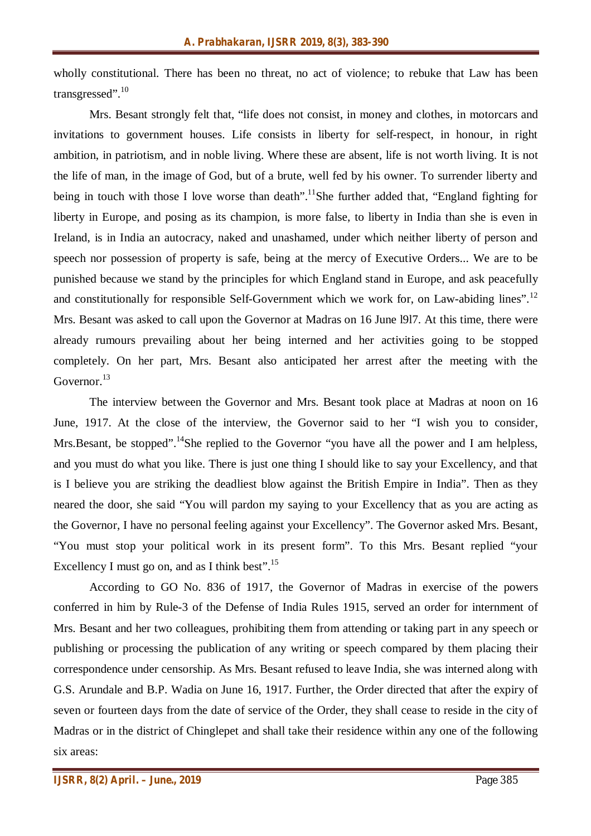wholly constitutional. There has been no threat, no act of violence; to rebuke that Law has been transgressed".<sup>10</sup>

Mrs. Besant strongly felt that, "life does not consist, in money and clothes, in motorcars and invitations to government houses. Life consists in liberty for self-respect, in honour, in right ambition, in patriotism, and in noble living. Where these are absent, life is not worth living. It is not the life of man, in the image of God, but of a brute, well fed by his owner. To surrender liberty and being in touch with those I love worse than death".<sup>11</sup>She further added that, "England fighting for liberty in Europe, and posing as its champion, is more false, to liberty in India than she is even in Ireland, is in India an autocracy, naked and unashamed, under which neither liberty of person and speech nor possession of property is safe, being at the mercy of Executive Orders... We are to be punished because we stand by the principles for which England stand in Europe, and ask peacefully and constitutionally for responsible Self-Government which we work for, on Law-abiding lines".<sup>12</sup> Mrs. Besant was asked to call upon the Governor at Madras on 16 June l9l7. At this time, there were already rumours prevailing about her being interned and her activities going to be stopped completely. On her part, Mrs. Besant also anticipated her arrest after the meeting with the Governor.<sup>13</sup>

The interview between the Governor and Mrs. Besant took place at Madras at noon on 16 June, 1917. At the close of the interview, the Governor said to her "I wish you to consider, Mrs.Besant, be stopped".<sup>14</sup>She replied to the Governor "you have all the power and I am helpless, and you must do what you like. There is just one thing I should like to say your Excellency, and that is I believe you are striking the deadliest blow against the British Empire in India". Then as they neared the door, she said "You will pardon my saying to your Excellency that as you are acting as the Governor, I have no personal feeling against your Excellency". The Governor asked Mrs. Besant, "You must stop your political work in its present form". To this Mrs. Besant replied "your Excellency I must go on, and as I think best". $^{15}$ 

According to GO No. 836 of 1917, the Governor of Madras in exercise of the powers conferred in him by Rule-3 of the Defense of India Rules 1915, served an order for internment of Mrs. Besant and her two colleagues, prohibiting them from attending or taking part in any speech or publishing or processing the publication of any writing or speech compared by them placing their correspondence under censorship. As Mrs. Besant refused to leave India, she was interned along with G.S. Arundale and B.P. Wadia on June 16, 1917. Further, the Order directed that after the expiry of seven or fourteen days from the date of service of the Order, they shall cease to reside in the city of Madras or in the district of Chinglepet and shall take their residence within any one of the following six areas: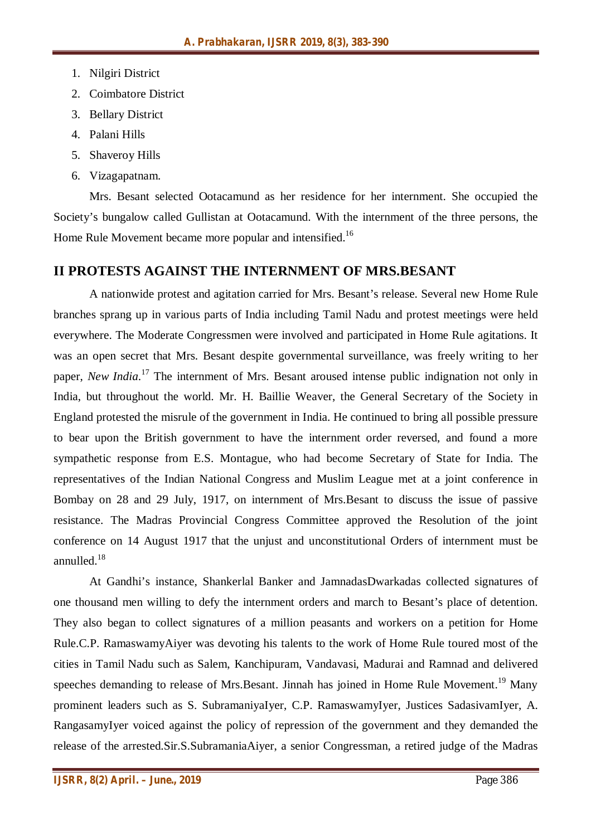- 1. Nilgiri District
- 2. Coimbatore District
- 3. Bellary District
- 4. Palani Hills
- 5. Shaveroy Hills
- 6. Vizagapatnam.

Mrs. Besant selected Ootacamund as her residence for her internment. She occupied the Society's bungalow called Gullistan at Ootacamund. With the internment of the three persons, the Home Rule Movement became more popular and intensified.<sup>16</sup>

# **II PROTESTS AGAINST THE INTERNMENT OF MRS.BESANT**

A nationwide protest and agitation carried for Mrs. Besant's release. Several new Home Rule branches sprang up in various parts of India including Tamil Nadu and protest meetings were held everywhere. The Moderate Congressmen were involved and participated in Home Rule agitations. It was an open secret that Mrs. Besant despite governmental surveillance, was freely writing to her paper, *New India*. <sup>17</sup> The internment of Mrs. Besant aroused intense public indignation not only in India, but throughout the world. Mr. H. Baillie Weaver, the General Secretary of the Society in England protested the misrule of the government in India. He continued to bring all possible pressure to bear upon the British government to have the internment order reversed, and found a more sympathetic response from E.S. Montague, who had become Secretary of State for India. The representatives of the Indian National Congress and Muslim League met at a joint conference in Bombay on 28 and 29 July, 1917, on internment of Mrs.Besant to discuss the issue of passive resistance. The Madras Provincial Congress Committee approved the Resolution of the joint conference on 14 August 1917 that the unjust and unconstitutional Orders of internment must be annulled.<sup>18</sup>

At Gandhi's instance, Shankerlal Banker and JamnadasDwarkadas collected signatures of one thousand men willing to defy the internment orders and march to Besant's place of detention. They also began to collect signatures of a million peasants and workers on a petition for Home Rule.C.P. RamaswamyAiyer was devoting his talents to the work of Home Rule toured most of the cities in Tamil Nadu such as Salem, Kanchipuram, Vandavasi, Madurai and Ramnad and delivered speeches demanding to release of Mrs.Besant. Jinnah has joined in Home Rule Movement.<sup>19</sup> Manv prominent leaders such as S. SubramaniyaIyer, C.P. RamaswamyIyer, Justices SadasivamIyer, A. RangasamyIyer voiced against the policy of repression of the government and they demanded the release of the arrested.Sir.S.SubramaniaAiyer, a senior Congressman, a retired judge of the Madras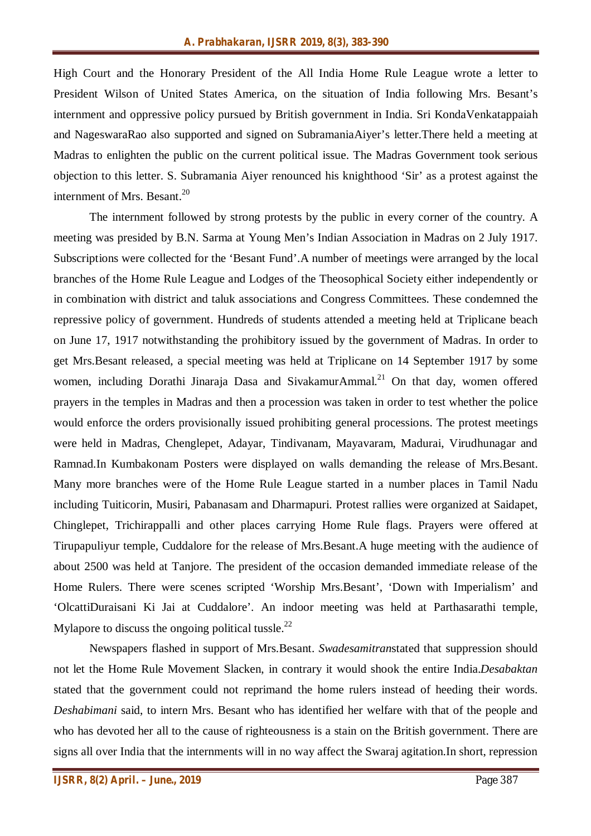High Court and the Honorary President of the All India Home Rule League wrote a letter to President Wilson of United States America, on the situation of India following Mrs. Besant's internment and oppressive policy pursued by British government in India. Sri KondaVenkatappaiah and NageswaraRao also supported and signed on SubramaniaAiyer's letter.There held a meeting at Madras to enlighten the public on the current political issue. The Madras Government took serious objection to this letter. S. Subramania Aiyer renounced his knighthood 'Sir' as a protest against the internment of Mrs. Besant.<sup>20</sup>

The internment followed by strong protests by the public in every corner of the country. A meeting was presided by B.N. Sarma at Young Men's Indian Association in Madras on 2 July 1917. Subscriptions were collected for the 'Besant Fund'.A number of meetings were arranged by the local branches of the Home Rule League and Lodges of the Theosophical Society either independently or in combination with district and taluk associations and Congress Committees. These condemned the repressive policy of government. Hundreds of students attended a meeting held at Triplicane beach on June 17, 1917 notwithstanding the prohibitory issued by the government of Madras. In order to get Mrs.Besant released, a special meeting was held at Triplicane on 14 September 1917 by some women, including Dorathi Jinaraja Dasa and SivakamurAmmal.<sup>21</sup> On that day, women offered prayers in the temples in Madras and then a procession was taken in order to test whether the police would enforce the orders provisionally issued prohibiting general processions. The protest meetings were held in Madras, Chenglepet, Adayar, Tindivanam, Mayavaram, Madurai, Virudhunagar and Ramnad.In Kumbakonam Posters were displayed on walls demanding the release of Mrs.Besant. Many more branches were of the Home Rule League started in a number places in Tamil Nadu including Tuiticorin, Musiri, Pabanasam and Dharmapuri. Protest rallies were organized at Saidapet, Chinglepet, Trichirappalli and other places carrying Home Rule flags. Prayers were offered at Tirupapuliyur temple, Cuddalore for the release of Mrs.Besant.A huge meeting with the audience of about 2500 was held at Tanjore. The president of the occasion demanded immediate release of the Home Rulers. There were scenes scripted 'Worship Mrs.Besant', 'Down with Imperialism' and 'OlcattiDuraisani Ki Jai at Cuddalore'. An indoor meeting was held at Parthasarathi temple, Mylapore to discuss the ongoing political tussle.<sup>22</sup>

Newspapers flashed in support of Mrs.Besant. *Swadesamitran*stated that suppression should not let the Home Rule Movement Slacken, in contrary it would shook the entire India.*Desabaktan* stated that the government could not reprimand the home rulers instead of heeding their words. *Deshabimani* said, to intern Mrs. Besant who has identified her welfare with that of the people and who has devoted her all to the cause of righteousness is a stain on the British government. There are signs all over India that the internments will in no way affect the Swaraj agitation.In short, repression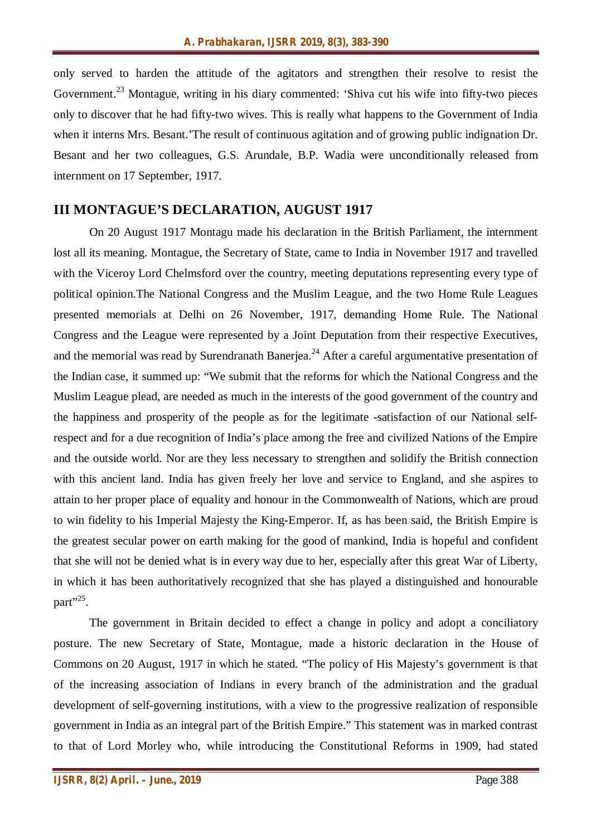only served to harden the attitude of the agitators and strengthen their resolve to resist the Government.<sup>23</sup> Montague, writing in his diary commented: 'Shiva cut his wife into fifty-two pieces only to discover that he had fifty-two wives. This is really what happens to the Government of India when it interns Mrs. Besant.'The result of continuous agitation and of growing public indignation Dr. Besant and her two colleagues, G.S. Arundale, B.P. Wadia were unconditionally released from internment on 17 September, 1917.

## **III MONTAGUE'S DECLARATION, AUGUST 1917**

On 20 August 1917 Montagu made his declaration in the British Parliament, the internment lost all its meaning. Montague, the Secretary of State, came to India in November 1917 and travelled with the Viceroy Lord Chelmsford over the country, meeting deputations representing every type of political opinion.The National Congress and the Muslim League, and the two Home Rule Leagues presented memorials at Delhi on 26 November, 1917, demanding Home Rule. The National Congress and the League were represented by a Joint Deputation from their respective Executives, and the memorial was read by Surendranath Banerjea.<sup>24</sup> After a careful argumentative presentation of the Indian case, it summed up: "We submit that the reforms for which the National Congress and the Muslim League plead, are needed as much in the interests of the good government of the country and the happiness and prosperity of the people as for the legitimate -satisfaction of our National selfrespect and for a due recognition of India's place among the free and civilized Nations of the Empire and the outside world. Nor are they less necessary to strengthen and solidify the British connection with this ancient land. India has given freely her love and service to England, and she aspires to attain to her proper place of equality and honour in the Commonwealth of Nations, which are proud to win fidelity to his Imperial Majesty the King-Emperor. If, as has been said, the British Empire is the greatest secular power on earth making for the good of mankind, India is hopeful and confident that she will not be denied what is in every way due to her, especially after this great War of Liberty, in which it has been authoritatively recognized that she has played a distinguished and honourable part"<sup>.25</sup>.

The government in Britain decided to effect a change in policy and adopt a conciliatory posture. The new Secretary of State, Montague, made a historic declaration in the House of Commons on 20 August, 1917 in which he stated. "The policy of His Majesty's government is that of the increasing association of Indians in every branch of the administration and the gradual development of self-governing institutions, with a view to the progressive realization of responsible government in India as an integral part of the British Empire." This statement was in marked contrast to that of Lord Morley who, while introducing the Constitutional Reforms in 1909, had stated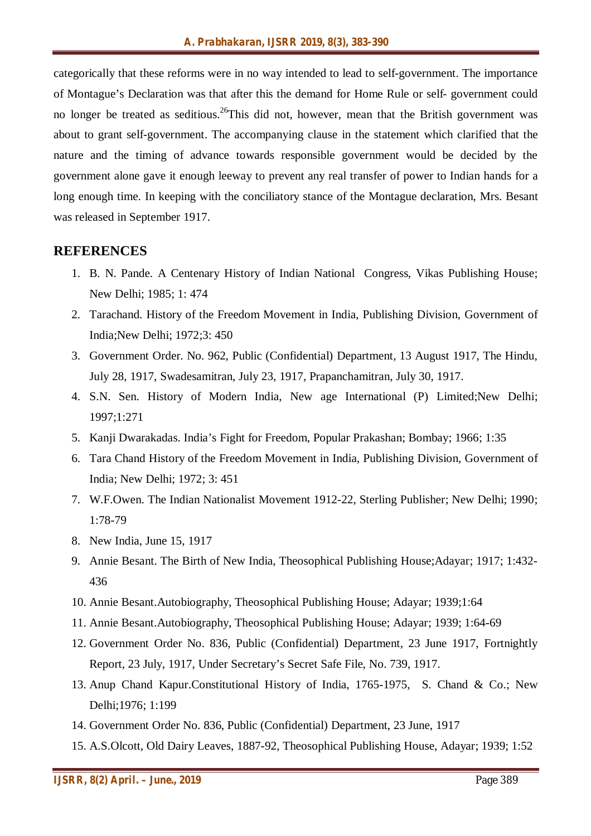categorically that these reforms were in no way intended to lead to self-government. The importance of Montague's Declaration was that after this the demand for Home Rule or self- government could no longer be treated as seditious.<sup>26</sup>This did not, however, mean that the British government was about to grant self-government. The accompanying clause in the statement which clarified that the nature and the timing of advance towards responsible government would be decided by the government alone gave it enough leeway to prevent any real transfer of power to Indian hands for a long enough time. In keeping with the conciliatory stance of the Montague declaration, Mrs. Besant was released in September 1917.

#### **REFERENCES**

- 1. B. N. Pande. A Centenary History of Indian National Congress, Vikas Publishing House; New Delhi; 1985; 1: 474
- 2. Tarachand. History of the Freedom Movement in India, Publishing Division, Government of India;New Delhi; 1972;3: 450
- 3. Government Order. No. 962, Public (Confidential) Department, 13 August 1917, The Hindu, July 28, 1917, Swadesamitran, July 23, 1917, Prapanchamitran, July 30, 1917.
- 4. S.N. Sen. History of Modern India, New age International (P) Limited;New Delhi; 1997;1:271
- 5. Kanji Dwarakadas. India's Fight for Freedom, Popular Prakashan; Bombay; 1966; 1:35
- 6. Tara Chand History of the Freedom Movement in India, Publishing Division, Government of India; New Delhi; 1972; 3: 451
- 7. W.F.Owen. The Indian Nationalist Movement 1912-22, Sterling Publisher; New Delhi; 1990; 1:78-79
- 8. New India, June 15, 1917
- 9. Annie Besant. The Birth of New India, Theosophical Publishing House;Adayar; 1917; 1:432- 436
- 10. Annie Besant.Autobiography, Theosophical Publishing House; Adayar; 1939;1:64
- 11. Annie Besant.Autobiography, Theosophical Publishing House; Adayar; 1939; 1:64-69
- 12. Government Order No. 836, Public (Confidential) Department, 23 June 1917, Fortnightly Report, 23 July, 1917, Under Secretary's Secret Safe File, No. 739, 1917.
- 13. Anup Chand Kapur.Constitutional History of India, 1765-1975, S. Chand & Co.; New Delhi;1976; 1:199
- 14. Government Order No. 836, Public (Confidential) Department, 23 June, 1917
- 15. A.S.Olcott, Old Dairy Leaves, 1887-92, Theosophical Publishing House, Adayar; 1939; 1:52